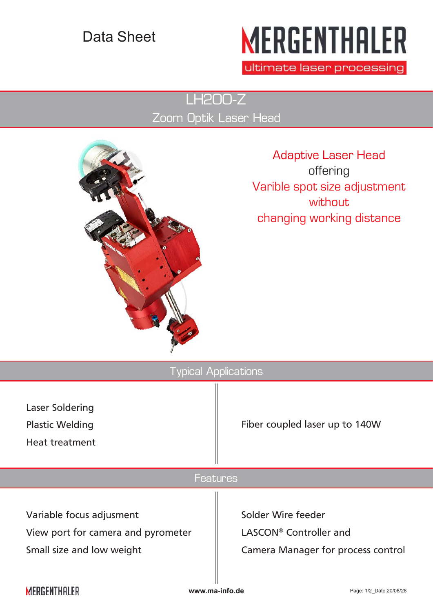## Data Sheet

# **MERGENTHALER**

ultimate laser processing

LH200-Z Zoom Optik Laser Head



Adaptive Laser Head offering Varible spot size adjustment without changing working distance

| <b>Typical Applications</b>                                                                 |                    |                                                                     |
|---------------------------------------------------------------------------------------------|--------------------|---------------------------------------------------------------------|
| Laser Soldering<br><b>Plastic Welding</b><br><b>Heat treatment</b>                          |                    | Fiber coupled laser up to 140W                                      |
| Features                                                                                    |                    |                                                                     |
| Variable focus adjusment<br>View port for camera and pyrometer<br>Small size and low weight | Solder Wire feeder | LASCON® Controller and<br><b>Camera Manager for process control</b> |
| <b>MERGEN</b>                                                                               | www.ma-info.de     | Page: 1/2 Date: 20/08/28                                            |